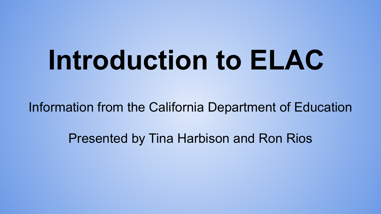## **Introduction to ELAC**

Information from the California Department of Education

Presented by Tina Harbison and Ron Rios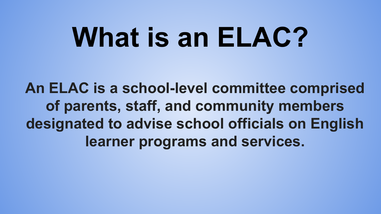## **What is an ELAC?**

**An ELAC is a school-level committee comprised of parents, staff, and community members designated to advise school officials on English learner programs and services.**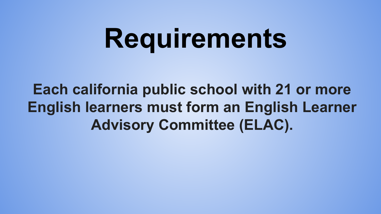## **Requirements**

**Each california public school with 21 or more English learners must form an English Learner Advisory Committee (ELAC).**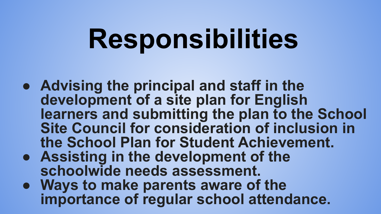## **Responsibilities**

- **● Advising the principal and staff in the development of a site plan for English learners and submitting the plan to the School Site Council for consideration of inclusion in the School Plan for Student Achievement.**
- **● Assisting in the development of the schoolwide needs assessment.**
- **● Ways to make parents aware of the importance of regular school attendance.**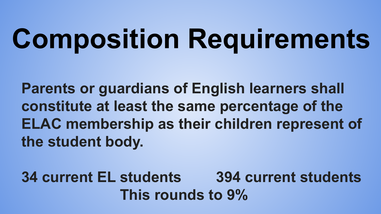# **Composition Requirements**

**Parents or guardians of English learners shall constitute at least the same percentage of the ELAC membership as their children represent of the student body.**

**34 current EL students 394 current students This rounds to 9%**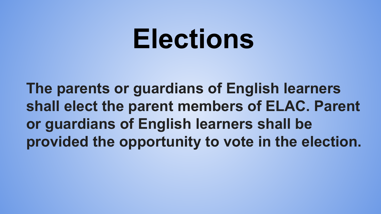#### **Elections**

**The parents or guardians of English learners shall elect the parent members of ELAC. Parent or guardians of English learners shall be provided the opportunity to vote in the election.**